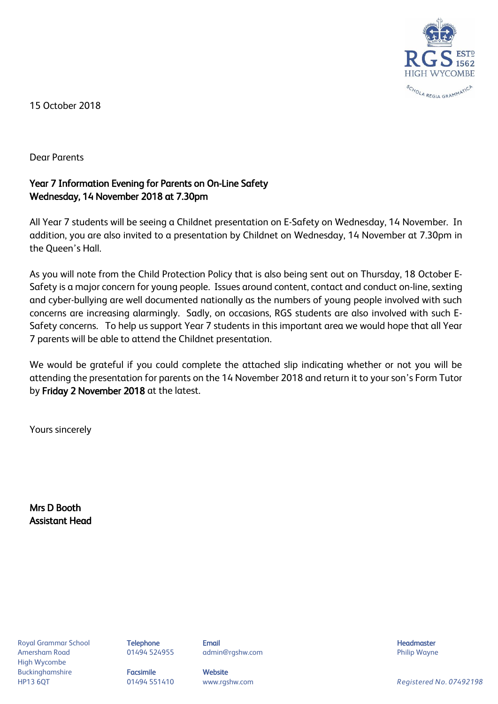

15 October 2018

Dear Parents

## Year 7 Information Evening for Parents on On-Line Safety Wednesday, 14 November 2018 at 7.30pm

All Year 7 students will be seeing a Childnet presentation on E-Safety on Wednesday, 14 November. In addition, you are also invited to a presentation by Childnet on Wednesday, 14 November at 7.30pm in the Queen's Hall.

As you will note from the Child Protection Policy that is also being sent out on Thursday, 18 October E-Safety is a major concern for young people. Issues around content, contact and conduct on-line, sexting and cyber-bullying are well documented nationally as the numbers of young people involved with such concerns are increasing alarmingly. Sadly, on occasions, RGS students are also involved with such E-Safety concerns. To help us support Year 7 students in this important area we would hope that all Year 7 parents will be able to attend the Childnet presentation.

We would be grateful if you could complete the attached slip indicating whether or not you will be attending the presentation for parents on the 14 November 2018 and return it to your son's Form Tutor by Friday 2 November 2018 at the latest.

Yours sincerely

Mrs D Booth Assistant Head

Royal Grammar School **Telephone Email Headmaster Email Headmaster Headmaster Headmaster** Amersham Road **8. Community 1948 124955** admin@rgshw.com **Community Community Philip Wayne** High Wycombe Buckinghamshire **Facsimile Facsimile** Website

HP13 6QT 01494 551410 www.rgshw.com *Registered No. 07492198*